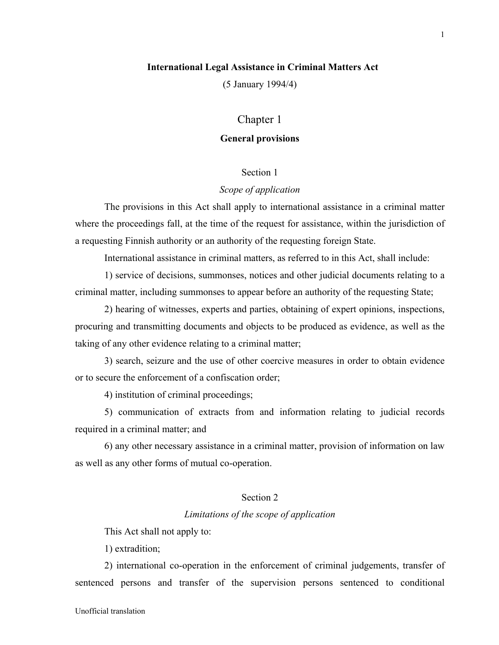# **International Legal Assistance in Criminal Matters Act**

(5 January 1994/4)

# Chapter 1

# **General provisions**

# Section 1

# *Scope of application*

The provisions in this Act shall apply to international assistance in a criminal matter where the proceedings fall, at the time of the request for assistance, within the jurisdiction of a requesting Finnish authority or an authority of the requesting foreign State.

International assistance in criminal matters, as referred to in this Act, shall include:

1) service of decisions, summonses, notices and other judicial documents relating to a criminal matter, including summonses to appear before an authority of the requesting State;

2) hearing of witnesses, experts and parties, obtaining of expert opinions, inspections, procuring and transmitting documents and objects to be produced as evidence, as well as the taking of any other evidence relating to a criminal matter;

3) search, seizure and the use of other coercive measures in order to obtain evidence or to secure the enforcement of a confiscation order;

4) institution of criminal proceedings;

5) communication of extracts from and information relating to judicial records required in a criminal matter; and

6) any other necessary assistance in a criminal matter, provision of information on law as well as any other forms of mutual co-operation.

# Section 2

# *Limitations of the scope of application*

This Act shall not apply to:

1) extradition;

2) international co-operation in the enforcement of criminal judgements, transfer of sentenced persons and transfer of the supervision persons sentenced to conditional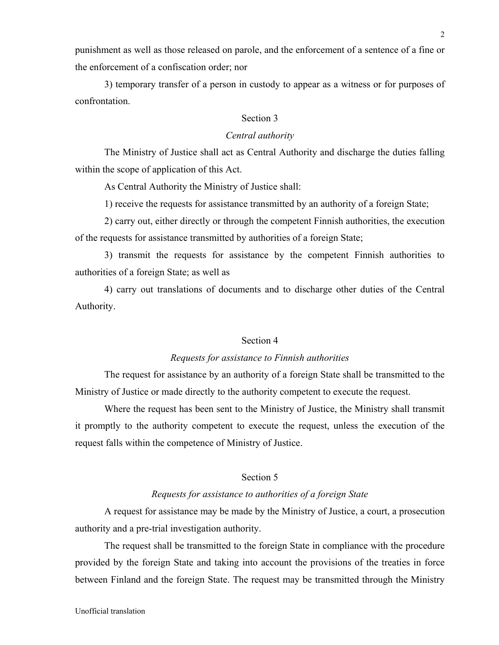punishment as well as those released on parole, and the enforcement of a sentence of a fine or the enforcement of a confiscation order; nor

3) temporary transfer of a person in custody to appear as a witness or for purposes of confrontation.

## Section 3

# *Central authority*

The Ministry of Justice shall act as Central Authority and discharge the duties falling within the scope of application of this Act.

As Central Authority the Ministry of Justice shall:

1) receive the requests for assistance transmitted by an authority of a foreign State;

2) carry out, either directly or through the competent Finnish authorities, the execution of the requests for assistance transmitted by authorities of a foreign State;

3) transmit the requests for assistance by the competent Finnish authorities to authorities of a foreign State; as well as

4) carry out translations of documents and to discharge other duties of the Central Authority.

# Section 4

# *Requests for assistance to Finnish authorities*

The request for assistance by an authority of a foreign State shall be transmitted to the Ministry of Justice or made directly to the authority competent to execute the request.

Where the request has been sent to the Ministry of Justice, the Ministry shall transmit it promptly to the authority competent to execute the request, unless the execution of the request falls within the competence of Ministry of Justice.

# Section 5

## *Requests for assistance to authorities of a foreign State*

A request for assistance may be made by the Ministry of Justice, a court, a prosecution authority and a pre-trial investigation authority.

The request shall be transmitted to the foreign State in compliance with the procedure provided by the foreign State and taking into account the provisions of the treaties in force between Finland and the foreign State. The request may be transmitted through the Ministry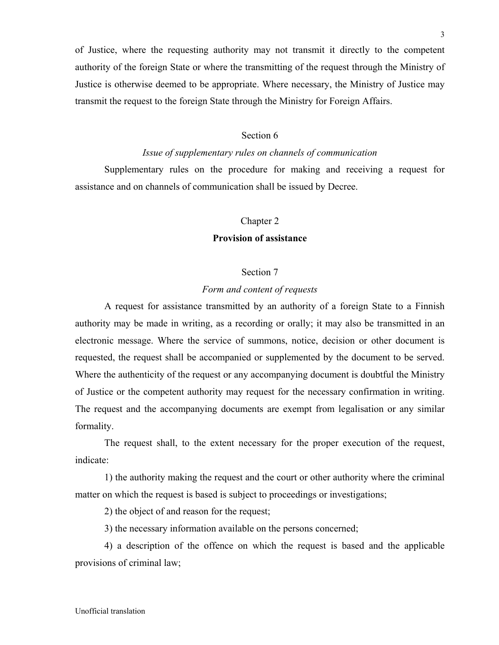of Justice, where the requesting authority may not transmit it directly to the competent authority of the foreign State or where the transmitting of the request through the Ministry of Justice is otherwise deemed to be appropriate. Where necessary, the Ministry of Justice may transmit the request to the foreign State through the Ministry for Foreign Affairs.

# Section 6

# *Issue of supplementary rules on channels of communication*

Supplementary rules on the procedure for making and receiving a request for assistance and on channels of communication shall be issued by Decree.

#### Chapter 2

# **Provision of assistance**

## Section 7

## *Form and content of requests*

A request for assistance transmitted by an authority of a foreign State to a Finnish authority may be made in writing, as a recording or orally; it may also be transmitted in an electronic message. Where the service of summons, notice, decision or other document is requested, the request shall be accompanied or supplemented by the document to be served. Where the authenticity of the request or any accompanying document is doubtful the Ministry of Justice or the competent authority may request for the necessary confirmation in writing. The request and the accompanying documents are exempt from legalisation or any similar formality.

The request shall, to the extent necessary for the proper execution of the request, indicate:

1) the authority making the request and the court or other authority where the criminal matter on which the request is based is subject to proceedings or investigations;

2) the object of and reason for the request;

3) the necessary information available on the persons concerned;

4) a description of the offence on which the request is based and the applicable provisions of criminal law;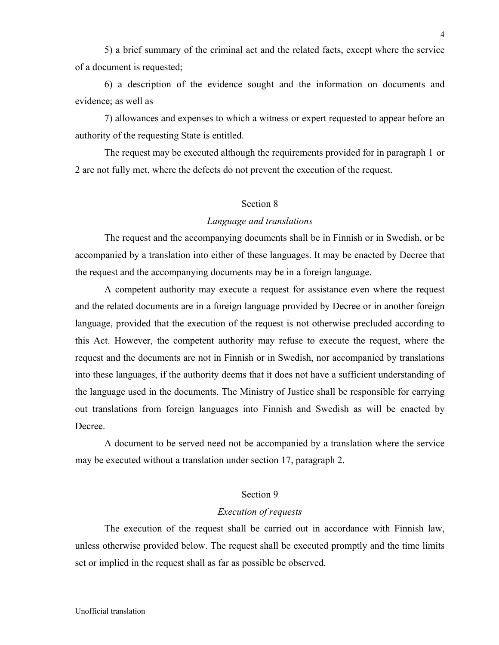5) a brief summary of the criminal act and the related facts, except where the service of a document is requested;

6) a description of the evidence sought and the information on documents and evidence; as well as

7) allowances and expenses to which a witness or expert requested to appear before an authority of the requesting State is entitled.

The request may be executed although the requirements provided for in paragraph 1 or 2 are not fully met, where the defects do not prevent the execution of the request.

# Section 8

## *Language and translations*

The request and the accompanying documents shall be in Finnish or in Swedish, or be accompanied by a translation into either of these languages. It may be enacted by Decree that the request and the accompanying documents may be in a foreign language.

A competent authority may execute a request for assistance even where the request and the related documents are in a foreign language provided by Decree or in another foreign language, provided that the execution of the request is not otherwise precluded according to this Act. However, the competent authority may refuse to execute the request, where the request and the documents are not in Finnish or in Swedish, nor accompanied by translations into these languages, if the authority deems that it does not have a sufficient understanding of the language used in the documents. The Ministry of Justice shall be responsible for carrying out translations from foreign languages into Finnish and Swedish as will be enacted by **Decree** 

A document to be served need not be accompanied by a translation where the service may be executed without a translation under section 17, paragraph 2.

# Section 9

# *Execution of requests*

The execution of the request shall be carried out in accordance with Finnish law, unless otherwise provided below. The request shall be executed promptly and the time limits set or implied in the request shall as far as possible be observed.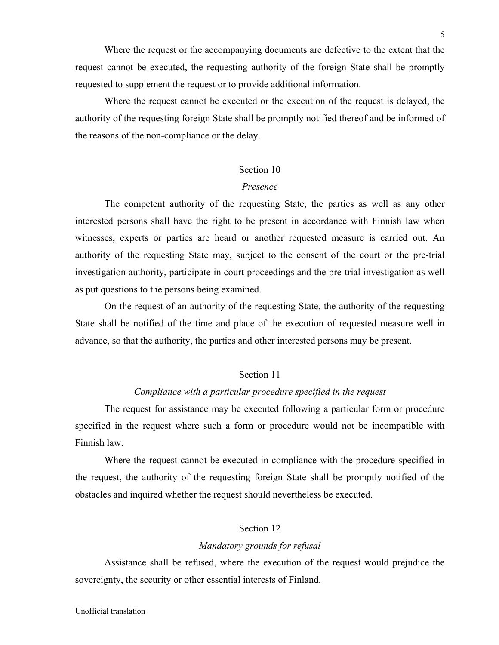Where the request or the accompanying documents are defective to the extent that the request cannot be executed, the requesting authority of the foreign State shall be promptly requested to supplement the request or to provide additional information.

Where the request cannot be executed or the execution of the request is delayed, the authority of the requesting foreign State shall be promptly notified thereof and be informed of the reasons of the non-compliance or the delay.

## Section 10

#### *Presence*

The competent authority of the requesting State, the parties as well as any other interested persons shall have the right to be present in accordance with Finnish law when witnesses, experts or parties are heard or another requested measure is carried out. An authority of the requesting State may, subject to the consent of the court or the pre-trial investigation authority, participate in court proceedings and the pre-trial investigation as well as put questions to the persons being examined.

On the request of an authority of the requesting State, the authority of the requesting State shall be notified of the time and place of the execution of requested measure well in advance, so that the authority, the parties and other interested persons may be present.

## Section 11

## *Compliance with a particular procedure specified in the request*

The request for assistance may be executed following a particular form or procedure specified in the request where such a form or procedure would not be incompatible with Finnish law.

Where the request cannot be executed in compliance with the procedure specified in the request, the authority of the requesting foreign State shall be promptly notified of the obstacles and inquired whether the request should nevertheless be executed.

## Section 12

#### *Mandatory grounds for refusal*

Assistance shall be refused, where the execution of the request would prejudice the sovereignty, the security or other essential interests of Finland.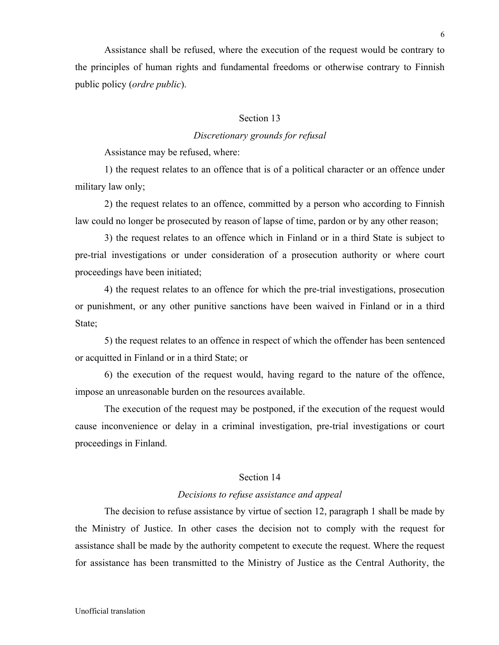Assistance shall be refused, where the execution of the request would be contrary to the principles of human rights and fundamental freedoms or otherwise contrary to Finnish public policy (*ordre public*).

# Section 13

# *Discretionary grounds for refusal*

Assistance may be refused, where:

1) the request relates to an offence that is of a political character or an offence under military law only;

2) the request relates to an offence, committed by a person who according to Finnish law could no longer be prosecuted by reason of lapse of time, pardon or by any other reason;

3) the request relates to an offence which in Finland or in a third State is subject to pre-trial investigations or under consideration of a prosecution authority or where court proceedings have been initiated;

4) the request relates to an offence for which the pre-trial investigations, prosecution or punishment, or any other punitive sanctions have been waived in Finland or in a third State;

5) the request relates to an offence in respect of which the offender has been sentenced or acquitted in Finland or in a third State; or

6) the execution of the request would, having regard to the nature of the offence, impose an unreasonable burden on the resources available.

The execution of the request may be postponed, if the execution of the request would cause inconvenience or delay in a criminal investigation, pre-trial investigations or court proceedings in Finland.

# Section 14

#### *Decisions to refuse assistance and appeal*

The decision to refuse assistance by virtue of section 12, paragraph 1 shall be made by the Ministry of Justice. In other cases the decision not to comply with the request for assistance shall be made by the authority competent to execute the request. Where the request for assistance has been transmitted to the Ministry of Justice as the Central Authority, the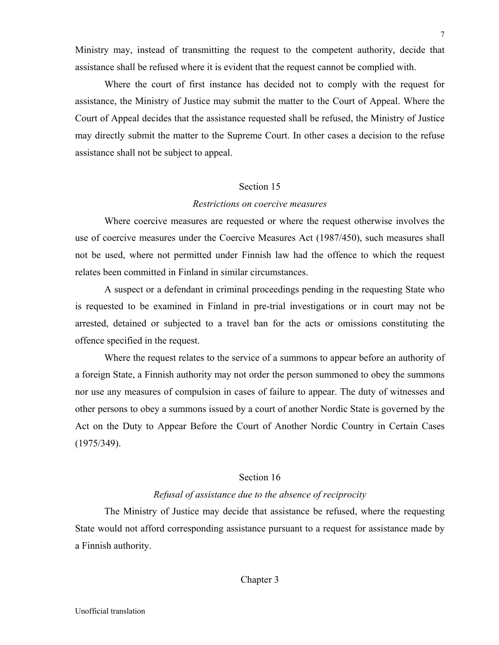Ministry may, instead of transmitting the request to the competent authority, decide that assistance shall be refused where it is evident that the request cannot be complied with.

Where the court of first instance has decided not to comply with the request for assistance, the Ministry of Justice may submit the matter to the Court of Appeal. Where the Court of Appeal decides that the assistance requested shall be refused, the Ministry of Justice may directly submit the matter to the Supreme Court. In other cases a decision to the refuse assistance shall not be subject to appeal.

## Section 15

## *Restrictions on coercive measures*

Where coercive measures are requested or where the request otherwise involves the use of coercive measures under the Coercive Measures Act (1987/450), such measures shall not be used, where not permitted under Finnish law had the offence to which the request relates been committed in Finland in similar circumstances.

A suspect or a defendant in criminal proceedings pending in the requesting State who is requested to be examined in Finland in pre-trial investigations or in court may not be arrested, detained or subjected to a travel ban for the acts or omissions constituting the offence specified in the request.

Where the request relates to the service of a summons to appear before an authority of a foreign State, a Finnish authority may not order the person summoned to obey the summons nor use any measures of compulsion in cases of failure to appear. The duty of witnesses and other persons to obey a summons issued by a court of another Nordic State is governed by the Act on the Duty to Appear Before the Court of Another Nordic Country in Certain Cases (1975/349).

# Section 16

## *Refusal of assistance due to the absence of reciprocity*

The Ministry of Justice may decide that assistance be refused, where the requesting State would not afford corresponding assistance pursuant to a request for assistance made by a Finnish authority.

# Chapter 3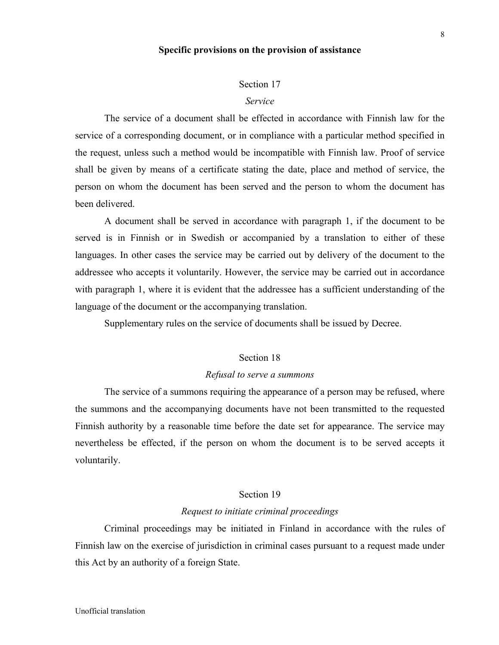## **Specific provisions on the provision of assistance**

#### Section 17

#### *Service*

The service of a document shall be effected in accordance with Finnish law for the service of a corresponding document, or in compliance with a particular method specified in the request, unless such a method would be incompatible with Finnish law. Proof of service shall be given by means of a certificate stating the date, place and method of service, the person on whom the document has been served and the person to whom the document has been delivered.

A document shall be served in accordance with paragraph 1, if the document to be served is in Finnish or in Swedish or accompanied by a translation to either of these languages. In other cases the service may be carried out by delivery of the document to the addressee who accepts it voluntarily. However, the service may be carried out in accordance with paragraph 1, where it is evident that the addressee has a sufficient understanding of the language of the document or the accompanying translation.

Supplementary rules on the service of documents shall be issued by Decree.

## Section 18

#### *Refusal to serve a summons*

The service of a summons requiring the appearance of a person may be refused, where the summons and the accompanying documents have not been transmitted to the requested Finnish authority by a reasonable time before the date set for appearance. The service may nevertheless be effected, if the person on whom the document is to be served accepts it voluntarily.

## Section 19

#### *Request to initiate criminal proceedings*

Criminal proceedings may be initiated in Finland in accordance with the rules of Finnish law on the exercise of jurisdiction in criminal cases pursuant to a request made under this Act by an authority of a foreign State.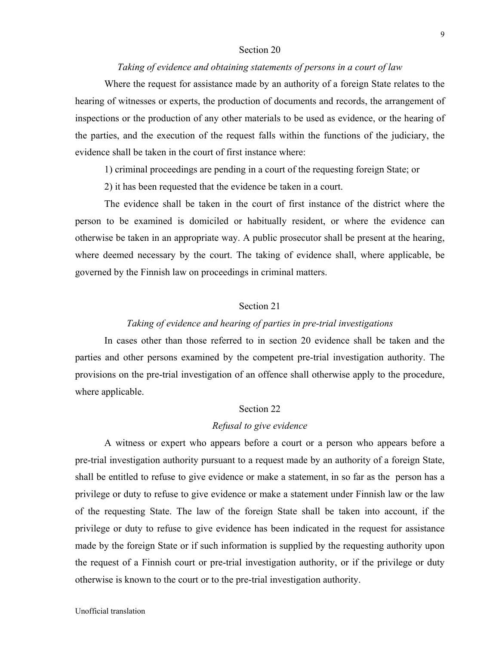#### Section 20

# *Taking of evidence and obtaining statements of persons in a court of law*

Where the request for assistance made by an authority of a foreign State relates to the hearing of witnesses or experts, the production of documents and records, the arrangement of inspections or the production of any other materials to be used as evidence, or the hearing of the parties, and the execution of the request falls within the functions of the judiciary, the evidence shall be taken in the court of first instance where:

1) criminal proceedings are pending in a court of the requesting foreign State; or

2) it has been requested that the evidence be taken in a court.

The evidence shall be taken in the court of first instance of the district where the person to be examined is domiciled or habitually resident, or where the evidence can otherwise be taken in an appropriate way. A public prosecutor shall be present at the hearing, where deemed necessary by the court. The taking of evidence shall, where applicable, be governed by the Finnish law on proceedings in criminal matters.

# Section 21

# *Taking of evidence and hearing of parties in pre-trial investigations*

In cases other than those referred to in section 20 evidence shall be taken and the parties and other persons examined by the competent pre-trial investigation authority. The provisions on the pre-trial investigation of an offence shall otherwise apply to the procedure, where applicable.

#### Section 22

#### *Refusal to give evidence*

A witness or expert who appears before a court or a person who appears before a pre-trial investigation authority pursuant to a request made by an authority of a foreign State, shall be entitled to refuse to give evidence or make a statement, in so far as the person has a privilege or duty to refuse to give evidence or make a statement under Finnish law or the law of the requesting State. The law of the foreign State shall be taken into account, if the privilege or duty to refuse to give evidence has been indicated in the request for assistance made by the foreign State or if such information is supplied by the requesting authority upon the request of a Finnish court or pre-trial investigation authority, or if the privilege or duty otherwise is known to the court or to the pre-trial investigation authority.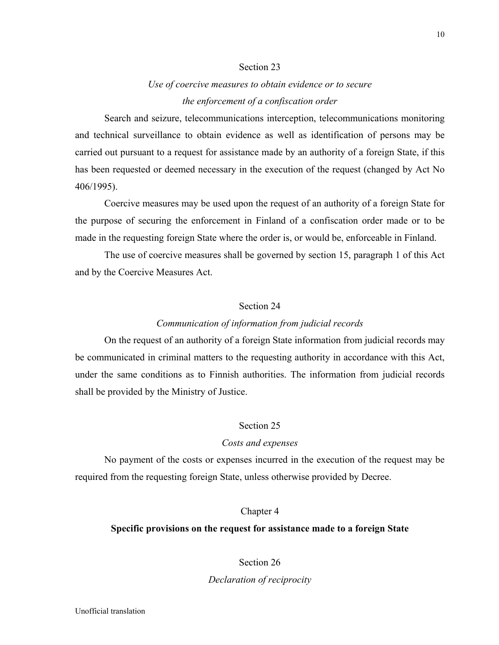# Section 23

# *Use of coercive measures to obtain evidence or to secure the enforcement of a confiscation order*

Search and seizure, telecommunications interception, telecommunications monitoring and technical surveillance to obtain evidence as well as identification of persons may be carried out pursuant to a request for assistance made by an authority of a foreign State, if this has been requested or deemed necessary in the execution of the request (changed by Act No 406/1995).

Coercive measures may be used upon the request of an authority of a foreign State for the purpose of securing the enforcement in Finland of a confiscation order made or to be made in the requesting foreign State where the order is, or would be, enforceable in Finland.

The use of coercive measures shall be governed by section 15, paragraph 1 of this Act and by the Coercive Measures Act.

# Section 24

## *Communication of information from judicial records*

On the request of an authority of a foreign State information from judicial records may be communicated in criminal matters to the requesting authority in accordance with this Act, under the same conditions as to Finnish authorities. The information from judicial records shall be provided by the Ministry of Justice.

# Section 25

## *Costs and expenses*

No payment of the costs or expenses incurred in the execution of the request may be required from the requesting foreign State, unless otherwise provided by Decree.

# Chapter 4

# **Specific provisions on the request for assistance made to a foreign State**

## Section 26

# *Declaration of reciprocity*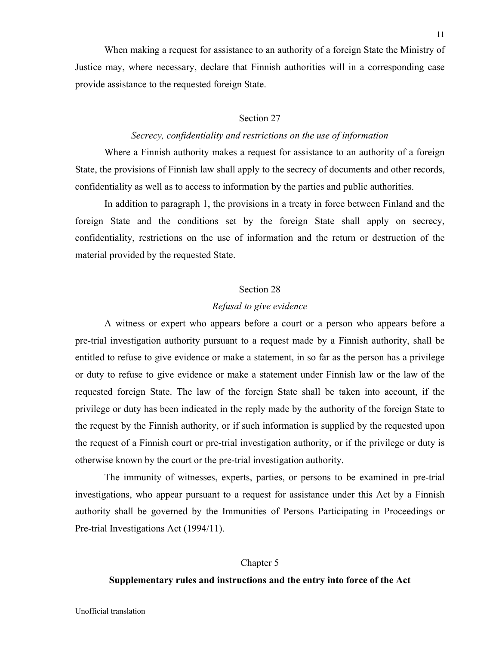When making a request for assistance to an authority of a foreign State the Ministry of Justice may, where necessary, declare that Finnish authorities will in a corresponding case provide assistance to the requested foreign State.

### Section 27

# *Secrecy, confidentiality and restrictions on the use of information*

Where a Finnish authority makes a request for assistance to an authority of a foreign State, the provisions of Finnish law shall apply to the secrecy of documents and other records, confidentiality as well as to access to information by the parties and public authorities.

In addition to paragraph 1, the provisions in a treaty in force between Finland and the foreign State and the conditions set by the foreign State shall apply on secrecy, confidentiality, restrictions on the use of information and the return or destruction of the material provided by the requested State.

## Section 28

#### *Refusal to give evidence*

A witness or expert who appears before a court or a person who appears before a pre-trial investigation authority pursuant to a request made by a Finnish authority, shall be entitled to refuse to give evidence or make a statement, in so far as the person has a privilege or duty to refuse to give evidence or make a statement under Finnish law or the law of the requested foreign State. The law of the foreign State shall be taken into account, if the privilege or duty has been indicated in the reply made by the authority of the foreign State to the request by the Finnish authority, or if such information is supplied by the requested upon the request of a Finnish court or pre-trial investigation authority, or if the privilege or duty is otherwise known by the court or the pre-trial investigation authority.

The immunity of witnesses, experts, parties, or persons to be examined in pre-trial investigations, who appear pursuant to a request for assistance under this Act by a Finnish authority shall be governed by the Immunities of Persons Participating in Proceedings or Pre-trial Investigations Act (1994/11).

#### Chapter 5

## **Supplementary rules and instructions and the entry into force of the Act**